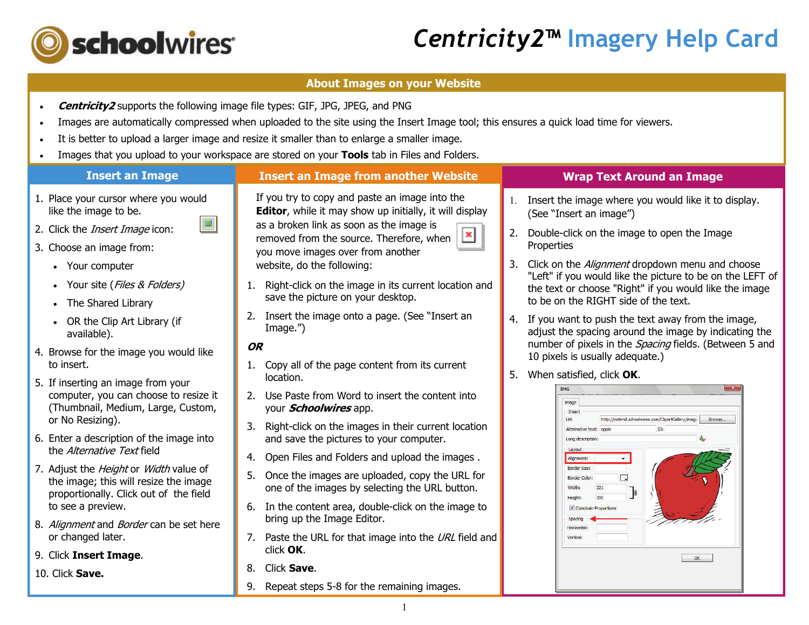

## *Centricity2***™ Imagery Help Card**

### **About Images on your Website**

- . **Centricity2** supports the following image file types: GIF, JPG, JPEG, and PNG
- . Images are automatically compressed when uploaded to the site using the Insert Image tool; this ensures a quick load time for viewers.
- . It is better to upload a larger image and resize it smaller than to enlarge a smaller image.
- $\bullet$ Images that you upload to your workspace are stored on your **Tools** tab in Files and Folders.

#### **Insert an Image Wrap Text Around an Image Insert an Image from another Website** If you try to copy and paste an image into the 1. Place your cursor where you would 1. Insert the image where you would like it to display. like the image to be. **Editor**, while it may show up initially, it will display (See "Insert an image") as a broken link as soon as the image is 2. Click the *Insert Image* icon: 2. Double-click on the image to open the Image × removed from the source. Therefore, when Properties 3. Choose an image from: you move images over from another 3. Click on the *Alignment* dropdown menu and choose website, do the following: • Your computer "Left" if you would like the picture to be on the LEFT of 1. Right-click on the image in its current location and • Your site (*Files & Folders)* the text or choose "Right" if you would like the image save the picture on your desktop. to be on the RIGHT side of the text. • The Shared Library 2. Insert the image onto a page. (See "Insert an 4. If you want to push the text away from the image, OR the Clip Art Library (if Image.") adjust the spacing around the image by indicating the available). number of pixels in the *Spacing* fields. (Between 5 and **OR**4. Browse for the image you would like 10 pixels is usually adequate.) 1. Copy all of the page content from its current to insert. 5. When satisfied, click **OK**. location. 5. If inserting an image from your **TMG** computer, you can choose to resize it 2. Use Paste from Word to insert the content into Image (Thumbnail, Medium, Large, Custom, your **Schoolwires** app. Insert or No Resizing). **Tide** http://extend.schoolwires.com/ClipartGallery/image 3. Right-click on the images in their current location Alternative text: apple 6. Enter a description of the image into and save the pictures to your computer. Long description the *Alternative Text* field 4. Open Files and Folders and upload the images . Alignment: 7. Adjust the *Height* or *Width* value of **Border Size:** 5. Once the images are uploaded, copy the URL for  $\overline{\Box}$ **Border Color:** the image; this will resize the image one of the images by selecting the URL button. 221 proportionally. Click out of the field **Heigh** to see a preview. 6. In the content area, double-click on the image to **V** Constrain bring up the Image Editor. Spacing 8. Alignment and Border can be set here Inrizontal or changed later. 7. Paste the URL for that image into the  $URL$  field and click **OK**. 9. Click **Insert Image**.  $OK$ 8. Click **Save**. 10. Click **Save.**9. Repeat steps 5-8 for the remaining images.